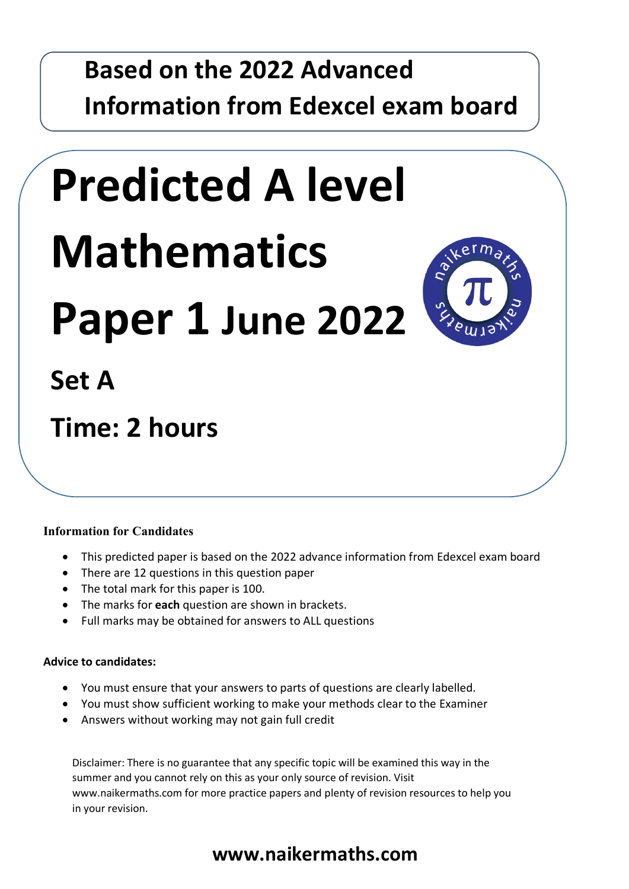## **Based on the 2022 Advanced Information from Edexcel exam board**

# **Predicted A level Mathematics**

**Paper 1 June 2022**



## **Set A**

## **Time: 2 hours**

#### **Information for Candidates**

- This predicted paper is based on the 2022 advance information from Edexcel exam board
- There are 12 questions in this question paper
- The total mark for this paper is 100.
- The marks for **each** question are shown in brackets.
- Full marks may be obtained for answers to ALL questions

#### **Advice to candidates:**

- You must ensure that your answers to parts of questions are clearly labelled.
- You must show sufficient working to make your methods clear to the Examiner
- Answers without working may not gain full credit

Disclaimer: There is no guarantee that any specific topic will be examined this way in the summer and you cannot rely on this as your only source of revision. Visit www.naikermaths.com for more practice papers and plenty of revision resources to help you in your revision.

### **www.naikermaths.com**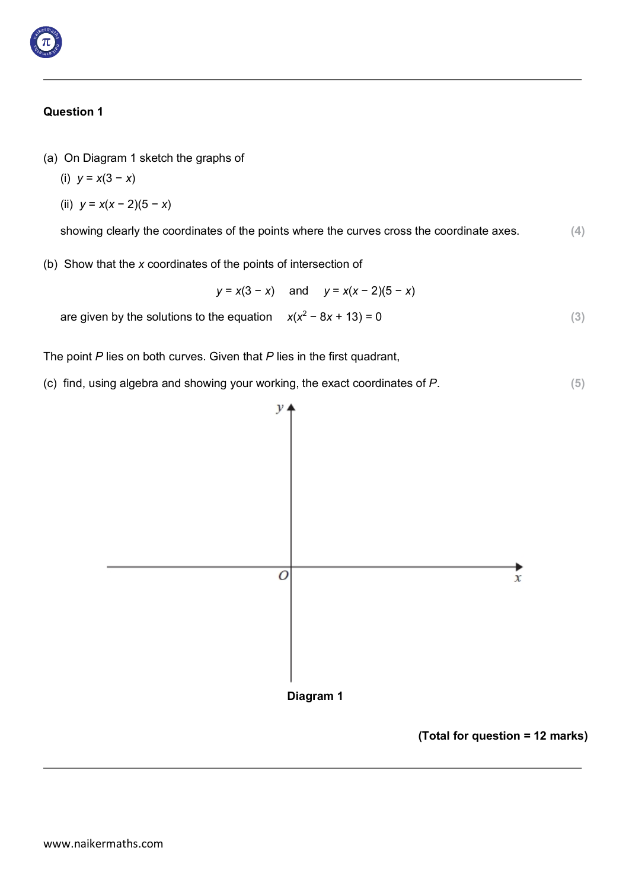

- (a) On Diagram 1 sketch the graphs of
	- (i) *y* = *x*(3 − *x*)
	- (ii) *y* = *x*(*x* − 2)(5 − *x*)

showing clearly the coordinates of the points where the curves cross the coordinate axes. **(4)**

(b) Show that the *x* coordinates of the points of intersection of

*y* = *x*(3 − *x*) and *y* = *x*(*x* − 2)(5 − *x*)

are given by the solutions to the equation  $x(x^2 - 8x + 13) = 0$  (3)

The point *P* lies on both curves. Given that *P* lies in the first quadrant,

(c) find, using algebra and showing your working, the exact coordinates of *P*. **(5)**



**(Total for question = 12 marks)**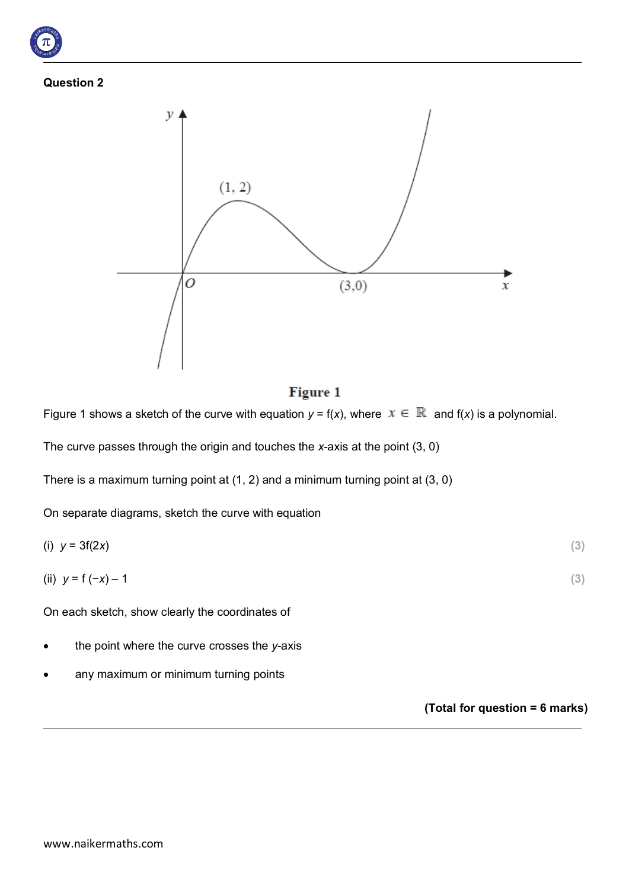



#### Figure 1

Figure 1 shows a sketch of the curve with equation  $y = f(x)$ , where  $x \in \mathbb{R}$  and  $f(x)$  is a polynomial.

The curve passes through the origin and touches the *x*-axis at the point (3, 0)

There is a maximum turning point at (1, 2) and a minimum turning point at (3, 0)

On separate diagrams, sketch the curve with equation

$$
(i) \quad y = 3f(2x) \tag{3}
$$

(ii) 
$$
y = f(-x) - 1
$$
 (3)

On each sketch, show clearly the coordinates of

- the point where the curve crosses the *y*-axis
- any maximum or minimum turning points

**(Total for question = 6 marks)**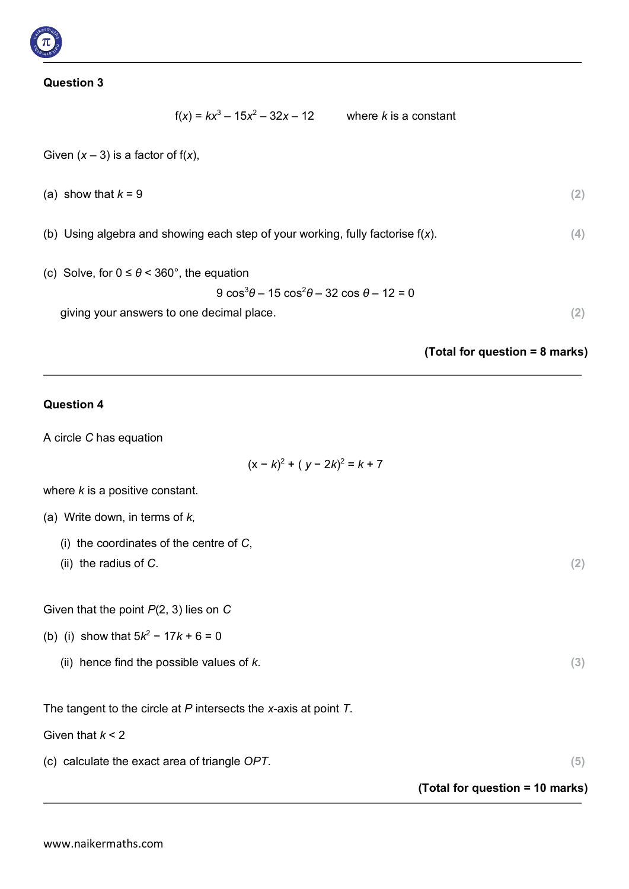$$
f(x) = kx^3 - 15x^2 - 32x - 12
$$
 where *k* is a constant

Given  $(x - 3)$  is a factor of  $f(x)$ ,

(a) show that  $k = 9$  (2)

(b) Using algebra and showing each step of your working, fully factorise f(*x*). **(4)**

(c) Solve, for  $0 \le \theta < 360^{\circ}$ , the equation

9 cos<sup>3</sup> *θ* – 15 cos<sup>2</sup> *θ* – 32 cos *θ* – 12 = 0

giving your answers to one decimal place. **(2)**

**(Total for question = 8 marks)**

#### **Question 4**

A circle *C* has equation

$$
(x - k)^2 + (y - 2k)^2 = k + 7
$$

where *k* is a positive constant.

- (a) Write down, in terms of *k*,
	- (i) the coordinates of the centre of *C*,
	- (ii) the radius of *C*. **(2)**

Given that the point *P*(2, 3) lies on *C*

- (b) (i) show that 5*k*<sup>2</sup> − 17*k* + 6 = 0
	- (ii) hence find the possible values of *k*. **(3)**

The tangent to the circle at *P* intersects the *x*-axis at point *T*.

Given that *k* < 2

(c) calculate the exact area of triangle *OPT*. **(5)**

**(Total for question = 10 marks)**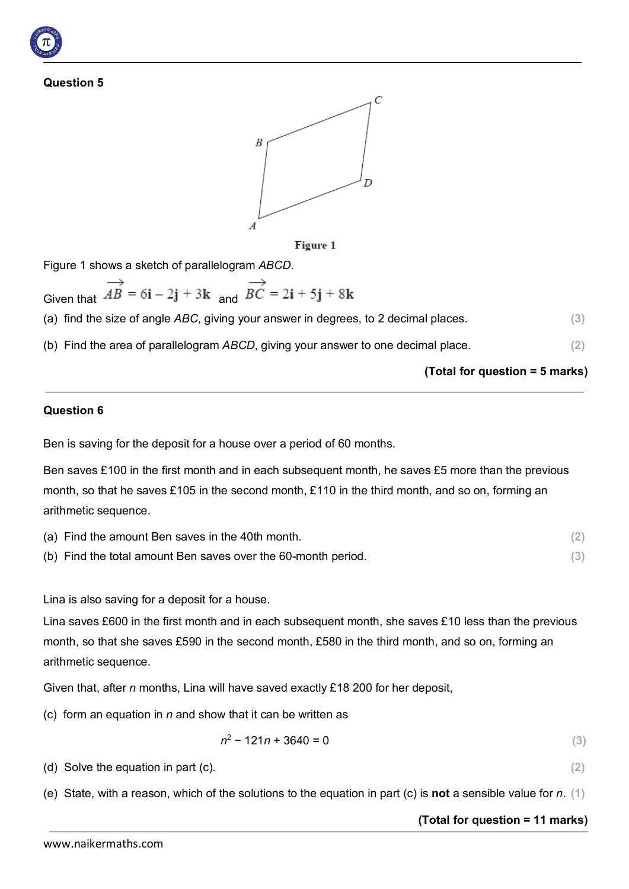



Figure 1 shows a sketch of parallelogram *ABCD*.

Given that  $\overrightarrow{AB}$  = 6**i** - 2**j** + 3**k** and  $\overrightarrow{BC}$  = 2**i** + 5**j** + 8**k** 

(a) find the size of angle *ABC*, giving your answer in degrees, to 2 decimal places. **(3)**

(b) Find the area of parallelogram *ABCD*, giving your answer to one decimal place. **(2)**

#### **(Total for question = 5 marks)**

#### **Question 6**

Ben is saving for the deposit for a house over a period of 60 months.

Ben saves £100 in the first month and in each subsequent month, he saves £5 more than the previous month, so that he saves £105 in the second month, £110 in the third month, and so on, forming an arithmetic sequence.

| (a) Find the amount Ben saves in the 40th month.              |  |
|---------------------------------------------------------------|--|
| (b) Find the total amount Ben saves over the 60-month period. |  |

Lina is also saving for a deposit for a house.

Lina saves £600 in the first month and in each subsequent month, she saves £10 less than the previous month, so that she saves £590 in the second month, £580 in the third month, and so on, forming an arithmetic sequence.

Given that, after *n* months, Lina will have saved exactly £18 200 for her deposit,

(c) form an equation in *n* and show that it can be written as

$$
n^2 - 121n + 3640 = 0 \tag{3}
$$

(d) Solve the equation in part (c). **(2)**

(e) State, with a reason, which of the solutions to the equation in part (c) is **not** a sensible value for *n*. **(1)**

#### **(Total for question = 11 marks)**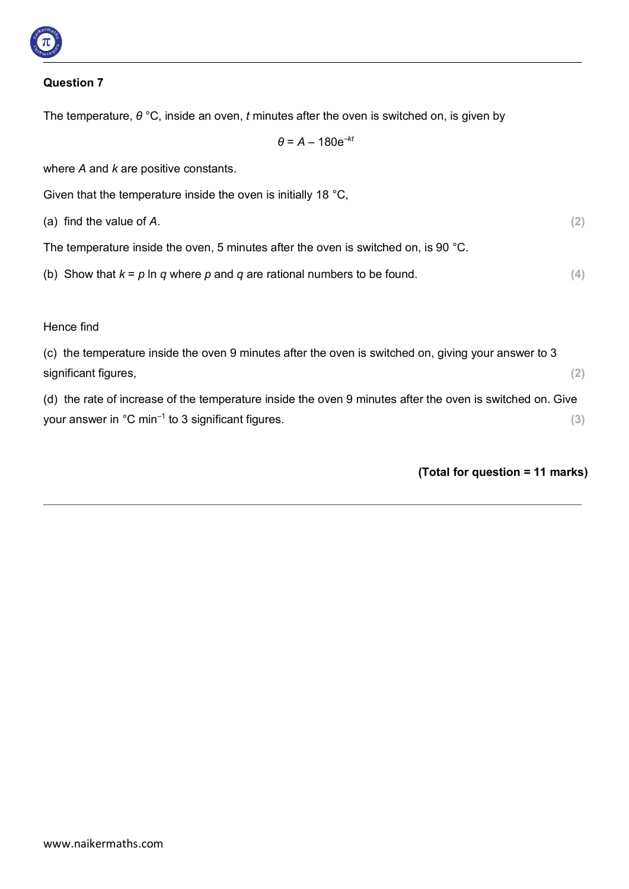

The temperature, *θ* °C, inside an oven, *t* minutes after the oven is switched on, is given by

 $\theta$  =  $A - 180e^{-kt}$ 

where *A* and *k* are positive constants.

Given that the temperature inside the oven is initially 18 °C,

(a) find the value of *A*. **(2)**

The temperature inside the oven, 5 minutes after the oven is switched on, is 90 °C.

(b) Show that  $k = p \ln q$  where p and q are rational numbers to be found.  $(4)$ 

#### Hence find

(c) the temperature inside the oven 9 minutes after the oven is switched on, giving your answer to 3 significant figures, **(2)**

(d) the rate of increase of the temperature inside the oven 9 minutes after the oven is switched on. Give your answer in °C min–1 to 3 significant figures. **(3)**

#### **(Total for question = 11 marks)**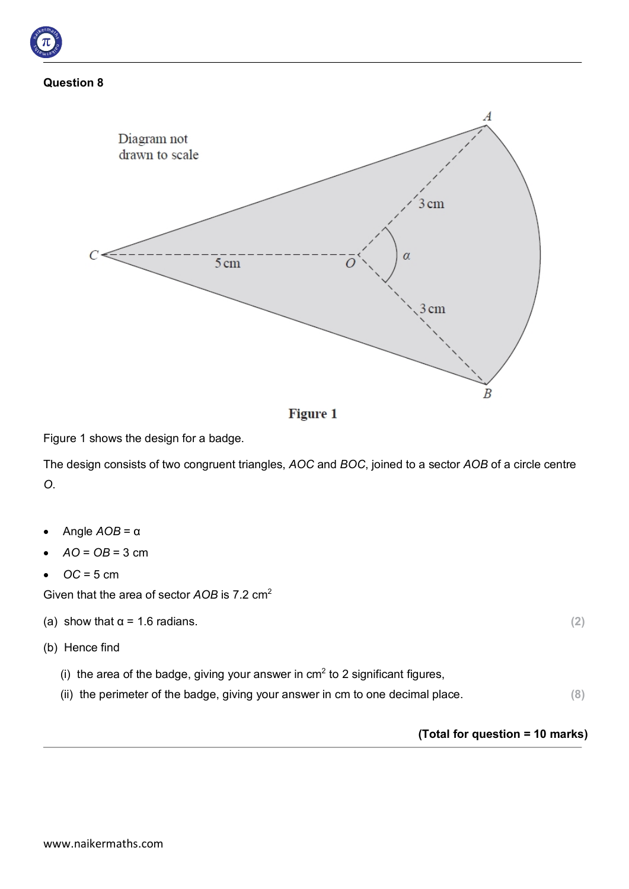



**Figure 1** 

Figure 1 shows the design for a badge.

The design consists of two congruent triangles, *AOC* and *BOC*, joined to a sector *AOB* of a circle centre *O*.

- Angle *AOB* = α
- $AO = OB = 3$  cm
- $\bullet$   $OC = 5$  cm

Given that the area of sector *AOB* is 7.2 cm<sup>2</sup>

- (a) show that  $\alpha = 1.6$  radians.  $(2)$
- (b) Hence find
	- (i) the area of the badge, giving your answer in  $cm<sup>2</sup>$  to 2 significant figures,
	- (ii) the perimeter of the badge, giving your answer in cm to one decimal place. **(8)**

#### **(Total for question = 10 marks)**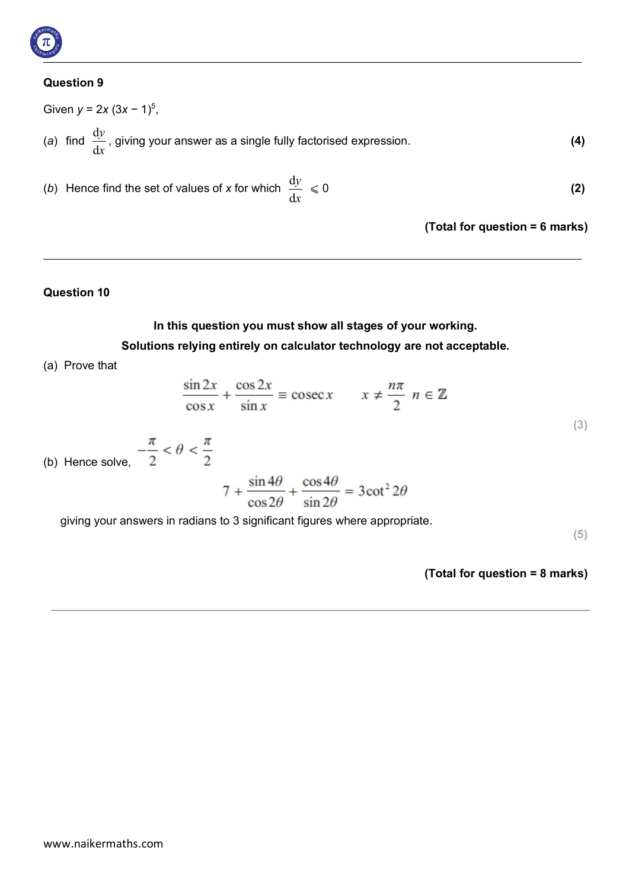

Given 
$$
y = 2x (3x - 1)^5
$$
,  
(a) find  $\frac{dy}{dx}$ , giving your answer as a single fully factorised expression. (4)

(*b*) Hence find the set of values of *x* for which  $\frac{dy}{dx} \le 0$  (2) d*x*

**(Total for question = 6 marks)**

#### **Question 10**

#### **In this question you must show all stages of your working. Solutions relying entirely on calculator technology are not acceptable.**

(a) Prove that

$$
\frac{\sin 2x}{\cos x} + \frac{\cos 2x}{\sin x} \equiv \csc x \qquad x \neq \frac{n\pi}{2} \quad n \in \mathbb{Z}
$$

(b) Hence solve,  $-\frac{\pi}{2} < \theta < \frac{\pi}{2}$ 

$$
7 + \frac{\sin 4\theta}{\cos 2\theta} + \frac{\cos 4\theta}{\sin 2\theta} = 3\cot^2 2\theta
$$

giving your answers in radians to 3 significant figures where appropriate.

**(5)**

**(3)**

**(Total for question = 8 marks)**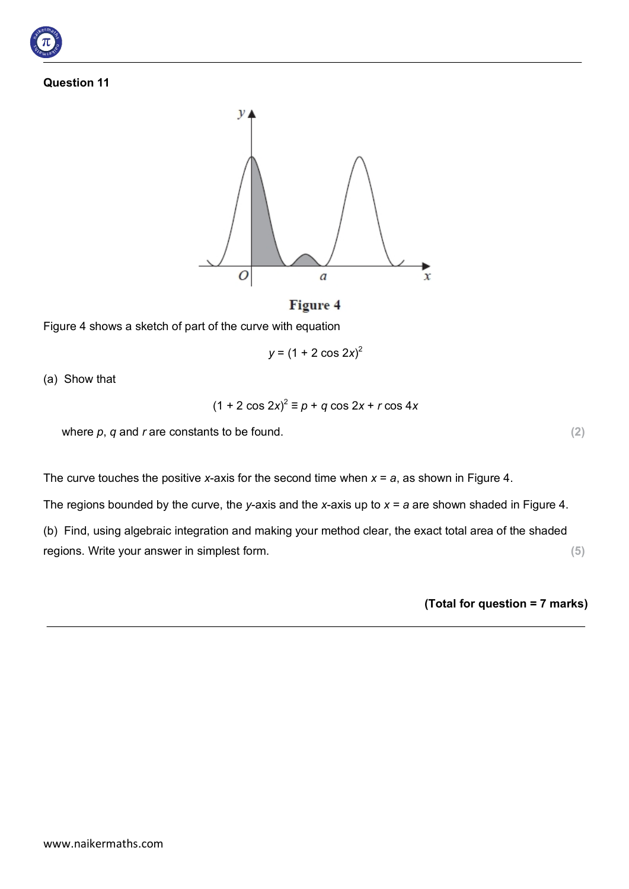



#### **Figure 4**

Figure 4 shows a sketch of part of the curve with equation

$$
y = (1 + 2 \cos 2x)^2
$$

(a) Show that

$$
(1 + 2\cos 2x)^2 \equiv p + q\cos 2x + r\cos 4x
$$

where  $p$ ,  $q$  and  $r$  are constants to be found.  $(2)$ 

The curve touches the positive *x*-axis for the second time when  $x = a$ , as shown in Figure 4.

The regions bounded by the curve, the *y*-axis and the *x*-axis up to *x* = *a* are shown shaded in Figure 4.

(b) Find, using algebraic integration and making your method clear, the exact total area of the shaded regions. Write your answer in simplest form. **(5)**

**(Total for question = 7 marks)**